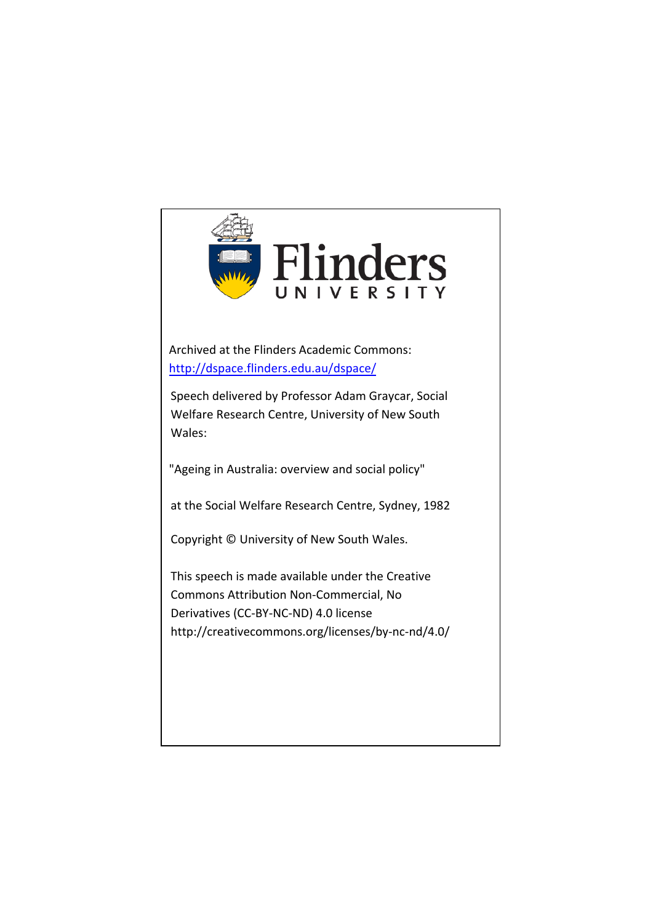

Archived at the Flinders Academic Commons: <http://dspace.flinders.edu.au/dspace/>

Speech delivered by Professor Adam Graycar, Social Welfare Research Centre, University of New South Wales:

"Ageing in Australia: overview and social policy"

at the Social Welfare Research Centre, Sydney, 1982

Copyright © University of New South Wales.

This speech is made available under the Creative Commons Attribution Non-Commercial, No Derivatives (CC-BY-NC-ND) 4.0 license http://creativecommons.org/licenses/by-nc-nd/4.0/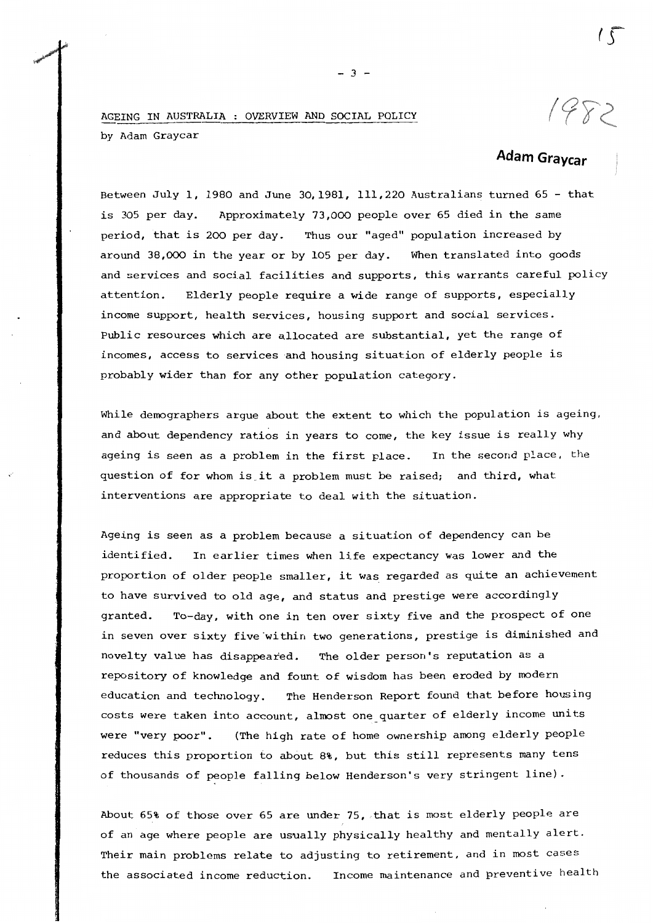## AGEING IN AUSTRALIA OVERVIEW AND SOCIAL POLICY by Adam Graycar

## **Adam Graycar**

Between July 1, 1980 and June 30,1981, 111,220 Australians turned 65 - that is 305 per day. Approximately 73,000 people over 65 died in the same period, that is 200 per day. Thus our "aged" population increased by around 38,000 in the year or by 105 per day. When translated into goods and services and social facilities and supports, this warrants careful policy attention. Elderly people require a wide range of supports, especially income support, health services, housing support and social services. Public resources which are allocated are substantial, yet the range of incomes, access to services and housing situation of elderly people is probably wider than for any other population category.

While demographers argue about the extent to which the population is ageing, and about dependency ratios in years to come, the key issue is really why ageing is seen as a problem in the first place. In the second place, the question of for whom is. it a problem must be raised; and third, what interventions are appropriate to deal with the situation.

Ageing is seen as a problem because a situation of dependency can be identified. In earlier times when life expectancy was lower and the proportion of older people smaller, it was regarded as quite an achievement to have survived to old age, and status and prestige were accordingly granted. To-day, with one in ten over sixty five and the prospect of one in seven over sixty five within two generations, prestige is diminished and novelty value has disappeared. The older person's reputation as a repository of knowledge and fount of wisdom has been eroded by modern education and technology. The Henderson Report found that before housing costs were taken into account, almost one quarter of elderly income units were "very poor". (The high rate of home ownership among elderly people reduces this proportion to about 8%, but this still represents many tens of thousands of people falling below Henderson's very stringent line).

About 65% of those over 65 are under 75, that is most elderly people are of an age where people are usually physically healthy and mentally alert. Their main problems relate to adjusting to retirement, and in most cases the associated income reduction. Income maintenance and preventive health

 $- 3 -$ 

1982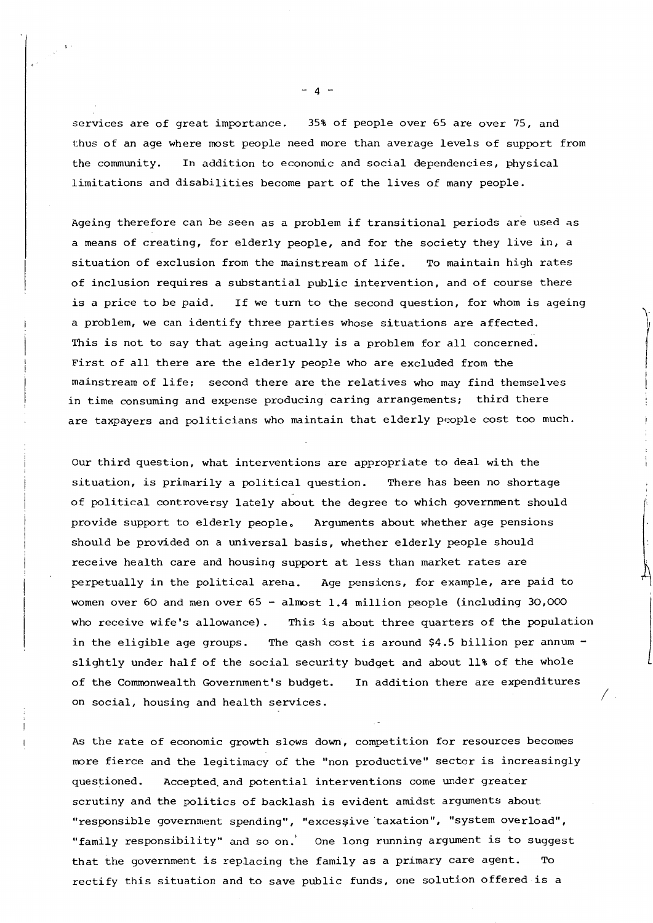services are of great importance. 35% of people over 65 are over 75, and thus of an age where most people need more than average levels of support from the community. In addition to economic and social dependencies, physical limitations and disabilities become part of the lives of many people.

Ageing therefore can be seen as a problem if transitional periods are used as a means of creating, for elderly people, and for the society they live in, a situation of exclusion from the mainstream of life. To maintain high rates of inclusion requires a substantial public intervention, and of course there is a price to be paid. If we turn to the second question, for whom is ageing a problem, we can identify three parties whose situations are affected. This is not to say that ageing actually is a problem for all concerned. First of all there are the elderly people who are excluded from the mainstream of life; second there are the relatives who may find themselves in time consuming and expense producing caring arrangements; third there are taxpayers and politicians who maintain that elderly people cost too much.

 $\left| \right|$ I

*I* 

Our third question, what interventions are appropriate to deal with the situation, is primarily a political question. There has been no shortage of political controversy lately about the degree to which government should provide support to elderly people. Arguments about whether age pensions should be provided on a universal basis, whether elderly people should receive health care and housing support at less than market rates are perpetually in the political arena. Age pensions, for example, are paid to women over 60 and men over 65 - almost 1.4 million people (including 30,000 who receive wife's allowance). This is about three quarters of the population in the eligible age groups. The cash cost is around  $$4.5$  billion per annum slightly under half of the social security budget and about 11% of the whole of the Commonwealth Government's budget. In addition there are expenditures on social, housing and health services.

As the rate of economic growth slows down, competition for resources becomes more fierce and the legitimacy of the "non productive" sector is increasingly questioned. Accepted.and potential interventions come under greater scrutiny and the politics of backlash is evident amidst arguments about "responsible government spending", "excessive taxation", "system overload", "family responsibility" and so on.' One long running argument is to suggest that the government is replacing the family as a primary care agent. To rectify this situation and to save public funds, one solution offered is a

 $- 4 -$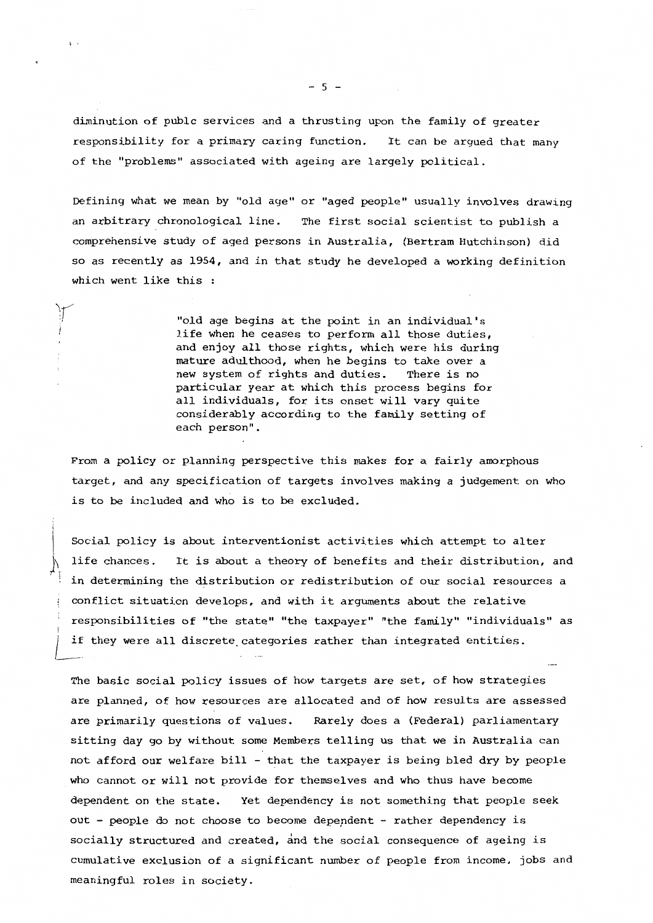diminution of publc services and a thrusting upon the family of greater responsibility for a primary caring function. It can be argued that many of the "problems" associated with ageing are largely political.

Defining what we mean by "old age" or "aged people" usually involves drawing an arbitrary chronological line. The first social scientist to publish a comprehensive study of aged persons in Australia, (Bertram Hutchinson) did so as recently as 1954, and in that study he developed a working definition which went like this :

> "old age begins at the point in an individual's life when he ceases to perform all those duties, and enjoy all those rights, which were his during mature adulthood, when he begins to take over a new system of rights and duties. There is no particular year at which this process begins for all individuals, for its onset will vary quite considerably according to the family setting of each person" .

From a policy or planning perspective this makes for a fairly amorphous target, and any specification of targets involves making a judgement on who is to be included and who is to be excluded.

Social policy is about interventionist activities which attempt to alter life chances. It is about a theory of benefits and their distribution, and in determining the distribution or redistribution of our social resources a conflict situation develops, and with it arguments about the relative responsibilities of "the state" "the taxpayer" "the family" "individuals" as if they were all discrete categories rather than integrated entities.

The basic social policy issues of how targets are set, of how strategies are planned, of how resources are allocated and of how results are assessed are primarily questions of values. Rarely does a (Federal) parliamentary sitting day go by without some Members telling us that we in Australia can not afford our welfare bill - that the taxpayer is being bled dry by people who cannot or will not provide for themselves and who thus have become dependent on the state. Yet dependency is not something that people seek out - people do not choose to become depepdent - rather dependency is socially structured and created, and the social consequence of ageing is cumulative exclusion of a significant number of people from income, jobs and meaningful roles in society.

 $-5 -$ 

 $\mathbf{I}$ 

!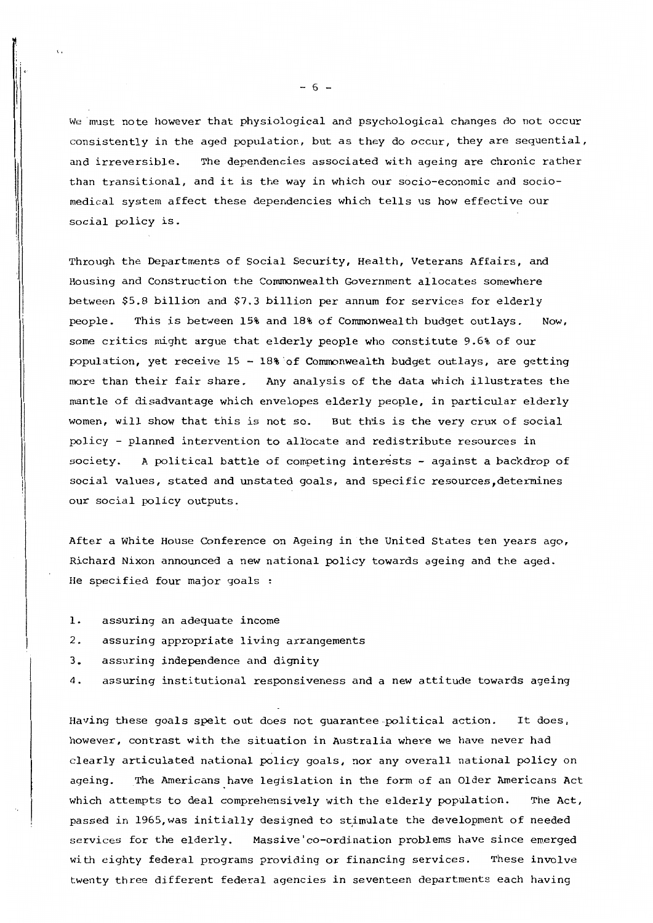We must note however that physiological and psychological changes do not occur consistently in the aged population, but as they do occur, they are sequential, and irreversible. The dependencies associated with ageing are chronic rather than transitional, and it is the way in which our socio-economic and sociomedical system affect these dependencies which tells us how effective our social policy is.

Through the Departments of Social Security, Health, Veterans Affairs, and Housing and Construction the Commonwealth Government allocates somewhere between \$5.8 billion and \$7.3 billion per annum for services for elderly people. This is between 15% and 18% of Commonwealth budget outlays. Now, some critics might argue that elderly people who constitute 9.6% of our population, yet receive 15 - 18%'of Commonwealth budget outlays, are getting more than their £air share. Any analysis of the data which illustrates the mantle of disadvantage which envelopes elderly people, in particular elderly women, will show that this is not so. But this is the very crux of social policy - planned intervention to allocate and redistribute resources in society. A political battle of competing interests - against a backdrop of social values, stated and unstated goals, and specific resources,determines our social policy outputs.

After a White House Conference on Ageing in the United States ten years ago, Richard Nixon announced a new national policy towards ageing and the aged. He specified four major goals

1. assuring an adequate income

 $\,$ 

 $\prod_{i=1}^{n} a_i$ 

- 2. assuring appropriate living arrangements
- 3. assuring independence and dignity
- 4. assuring institutional responsiveness and a new attitude towards ageing

Having these goals spelt out does not guarantee-political action. It does, however, contrast with the situation in Australia where we have never had clearly articulated national policy goals, nor any overall national policy on ageing. The Americans have legislation in the form of an Older Americans Act which attempts to deal comprehensively with the elderly population. The Act, passed in 1965, was initially designed to stimulate the development of needed services for the elderly. Massive'co-ordination problems have since emerged with eighty federal programs providing or financing services. These involve twenty three different federal agencies in seventeen departments each having

 $\sim 6 -$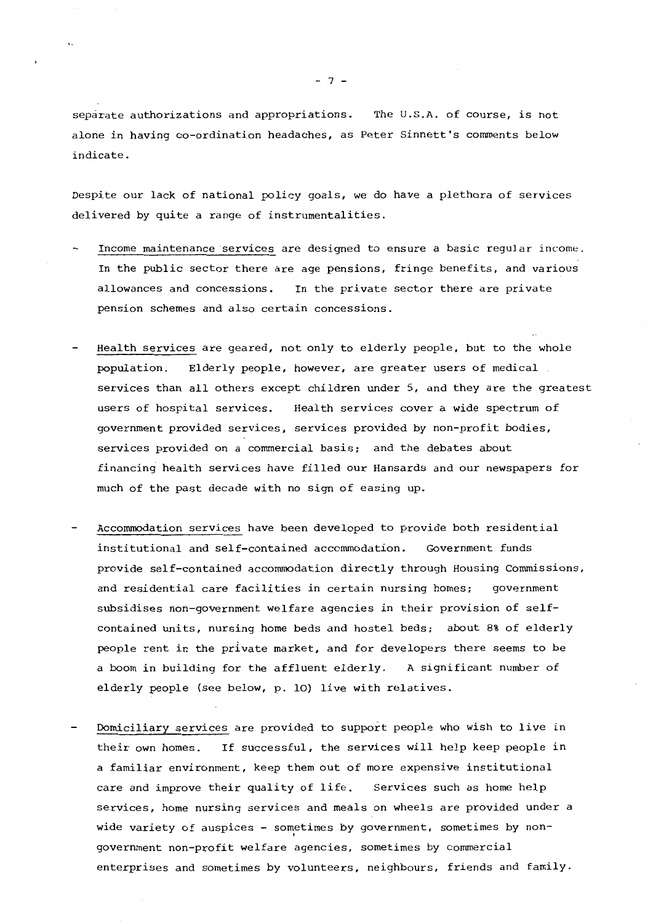separate authorizations and appropriations. The U.S.A. of course, is not alone **in having** co-ordination headaches, as Peter Sinnett's comments below indicate.

Despite our lack of national policy goals, we do have a plethora of services delivered by quite a range of instrumentalities.

- Income maintenance services are designed to ensure a basic regular income. In the public sector there are age pensions, fringe benefits, and various allowances and concessions. In the private sector there are private pension schemes and also certain concessions.
- Health services are geared, not only to elderly people, but to the whole population. Elderly people, however, are greater users of medical services than all others except children under 5, and they are the greatest users of hospital services. Health services cover a wide spectrum of government provided services, services provided by non-profit bodies, services provided on a commercial basis; and the debates about financing health services have filled our Hansards and our newspapers for much of the past decade with no sign of easing up.
- Accommodation services have been developed to provide both residential institutional and self-contained accommodation. Government funds **provide** self-contained accommodation directly through Housing Commissions, and residential care facilities in certain nursing homes; government subsidises non-government welfare agencies in their provision of selfcontained units, nursing home beds and hostel beds; about 8% of elderly people rent in the private market, and for developers there seems to be a boom in building for the affluent elderly. A significant number of elderly people (see below, p. 10) live with relatives.
- Domiciliary services are provided to support people who wish to live in their own homes. If successful, the services will help keep people in a familiar environment, keep them out of more expensive institutional care and improve their quality of life. Services such as home help services, home nursing services and meals on wheels are provided under a wide variety of auspices - sometimes by government, sometimes by non-' government non-profit welfare agencies, sometimes by commercial enterprises and sometimes by volunteers, neighbours, friends and family.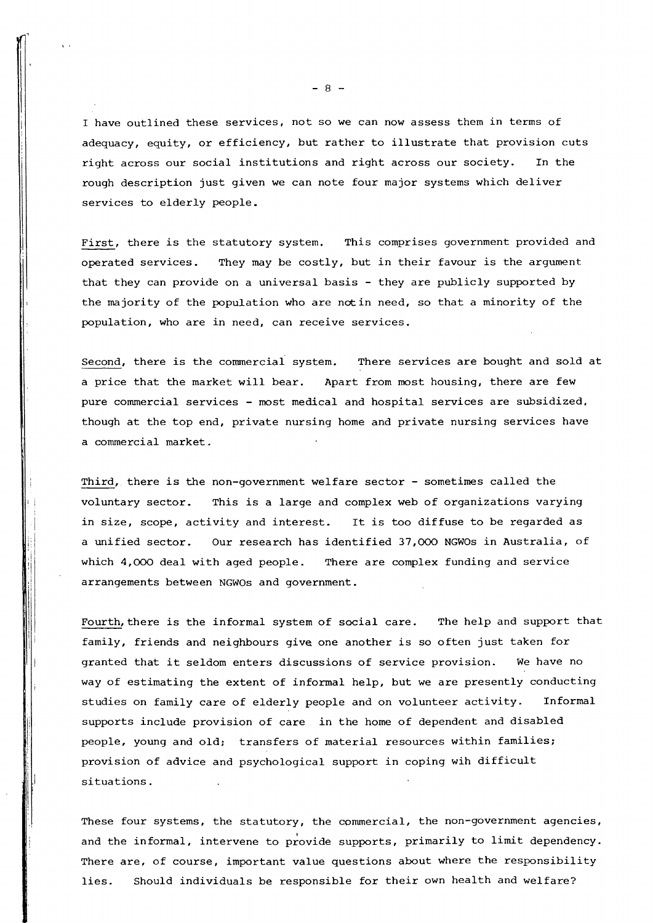I have outlined these services, not so we can now assess them in terms of adequacy, equity, or efficiency, but rather to illustrate that provision cuts right across our social institutions and right across our society. In the rough description just given we can note four major systems which deliver services to elderly people.

First, there is the statutory system. This comprises government provided and operated services. They may be costly, but in their favour is the argument that they can provide on a universal basis - they are publicly supported by the majority of the population who are notin need, so that a minority of the population, who are in need, can receive services.

Second, there is the commercial system. There services are bought and sold at a price that the market will bear. Apart from most housing, there are few pure commercial services - most medical and hospital services are subsidized, though at the top end, private nursing home and private nursing services have a commercial market.

Third, there is the non-government welfare sector - sometimes called the voluntary sector. This is a large and complex web of organizations varying in size, scope, activity and interest. It is too diffuse to be regarded as a unified sector. Our research has identified 37,000 NGWOs in Australia, of which 4,000 deal with aged people. There are complex funding and service arrangements between NGWOs and government.

<sup>I</sup>j

Fourth, there is the informal system of social care. The help and support that family, friends and neighbours give one another is so often just taken for granted that it seldom enters discussions of service provision. We have no way of estimating the extent of informal help, but we are presently conducting studies on family care of elderly people and on volunteer activity. Informal supports include provision of care in the home of dependent and disabled people, young and *old:* transfers of material resources within families; provision of advice and psychological support in coping wih difficult situations.

These four systems, the statutory, the commercial, the non-government agencies, and the informal, intervene to provide supports, primarily to limit dependency. There are, of course, important value questions about where the responsibility lies. Should individuals be responsible for their own health and welfare?

- 8 -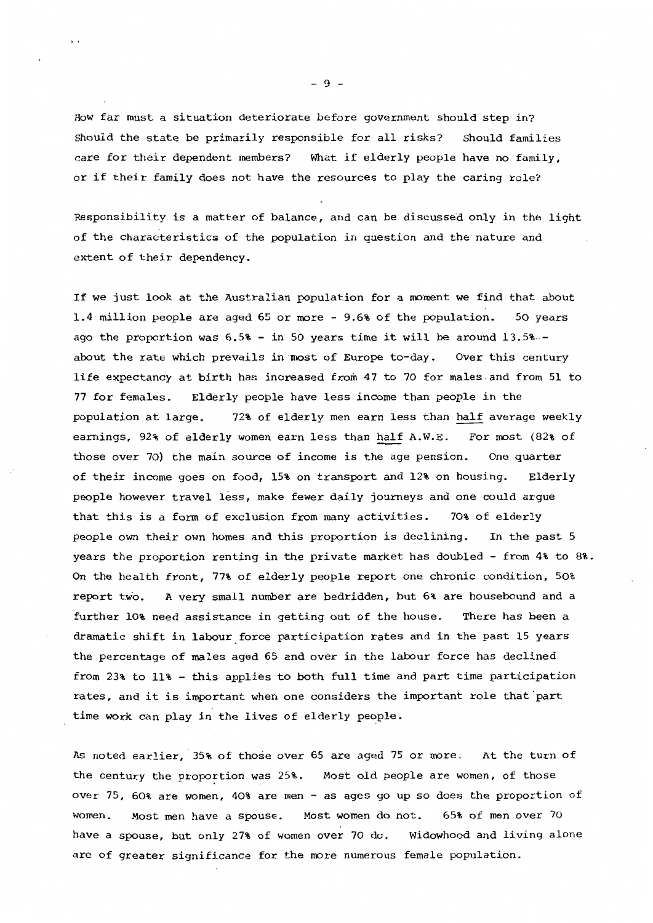How far must a situation deteriorate before government should step in? Should the state be primarily responsible for all risks? Should families care for their dependent members? What if elderly people have no family, or if their family does not have the resources to play the caring role?

Responsibility is a matter of balance, and can be discussed only in the light of the characteristics of the population in question and the nature and extent of their dependency.

If we just look at the Australian population for a moment we find that about 1.4 million people are aged 65 or more - 9.6% of the population. 50 years ago the proportion was  $6.5\%$  - in 50 years time it will be around  $13.5\%$  about the rate which prevails in·most of Europe to-day. Over this century life expectancy at birth has increased from 47 to 70 for males.and from 51 to 77 for females. Elderly people have less income than people in the population at large. 72% of elderly men earn less than half average weekly earnings, 92% of elderly women earn less than half A.W.E. For most (82% of those over 70) the main source of income is the age pension. One quarter of their income goes on food, 15% on transport and 12% on housing. Elderly people however travel less, make fewer daily journeys and one could argue that this is a form of exclusion from many activities. 70% of elderly people own their own homes and this proportion is declining. In the past 5 years the proportion renting in the private market has doubled - from 4% to 8%. On the health front, 77% of elderly people report one chronic condition, 50% report two. A very small number are bedridden, but 6% are housebound and a further 10% need assistance in getting out of the house. There has been a dramatic shift in labour force participation rates and in the past 15 years the percentage of males aged 65 and over in the labour force has declined from 23% to 11% - this applies to both full time and part time participation rates, and it is important when one considers the important role that part time work can play in the lives of elderly people.

As noted earlier, 35% of those over 65 are aged 75 or more. At the turn of the century the proportion was 25%. Most old people are women, of those over 75, 60% are women, 40% are men - as ages go up so does the proportion of women. Most men have a spouse. Most women do not. 65% of men over 70 have a spouse, but only 27% of women over 70 do. Widowhood and living alone are of greater significance for the more numerous female population.

- 9 -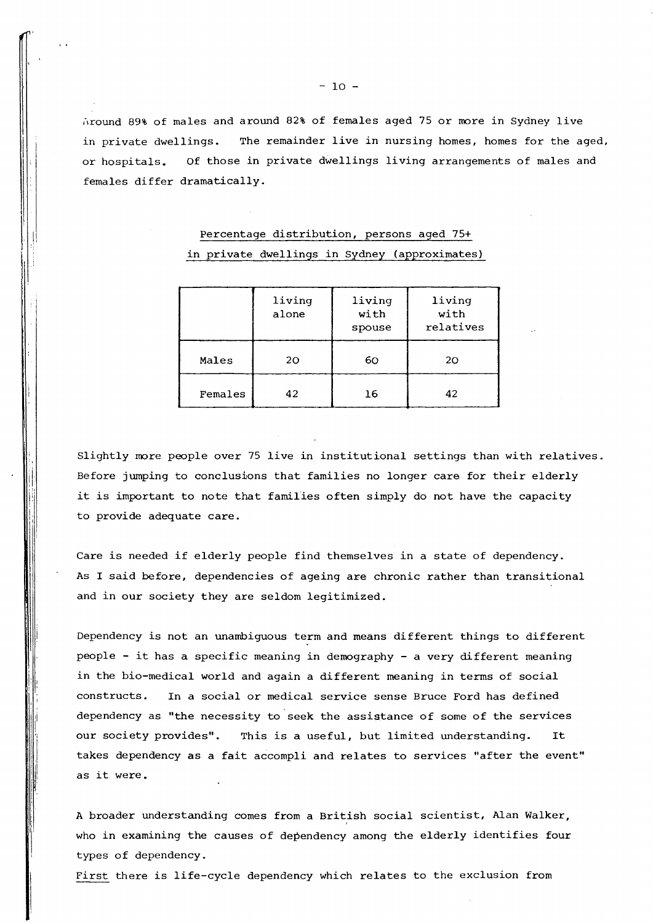$\alpha$  around 89% of males and around 82% of females aged 75 or more in Sydney live in private dwellings. The remainder live in nursing homes, homes for the aged, or hospitals. Of those in private dwellings living arrangements of males and females differ dramatically.

|         | living<br>alone | living<br>with<br>spouse | living<br>with<br>relatives |
|---------|-----------------|--------------------------|-----------------------------|
| Males   | 20              | 60                       | 20                          |
| Females | 42              | 16                       | 42                          |

## Percentage distribution, persons aged 75+ in private dwellings in Sydney (approximates)

Slightly more people over 75 live in institutional settings than with relatives. Before jumping to conclusions that families no longer care for their elderly it is important to note that families often simply do not have the capacity to provide adequate care.

Care is needed if elderly people find themselves in a state of dependency. As I said before, dependencies of ageing are chronic rather than transitional and in our society they are seldom legitimized.

Dependency is not an unambiguous term and means different things to different people - it has a specific meaning in demography - a very different meaning in the bio-medical world and again a different meaning in terms of social constructs. In a social or medical service sense Bruce Ford has defined dependency as "the necessity to seek the assistance of some of the services our society provides". This is a useful, but limited understanding. It takes dependency as a fait accompli and relates to services "after the event" as it were.

il ' ''

I I, I

> A broader understanding comes from a British social scientist, Alan Walker, who in examining the causes of dependency among the elderly identifies four types of dependency.

First there is life-cycle dependency which relates to the exclusion from